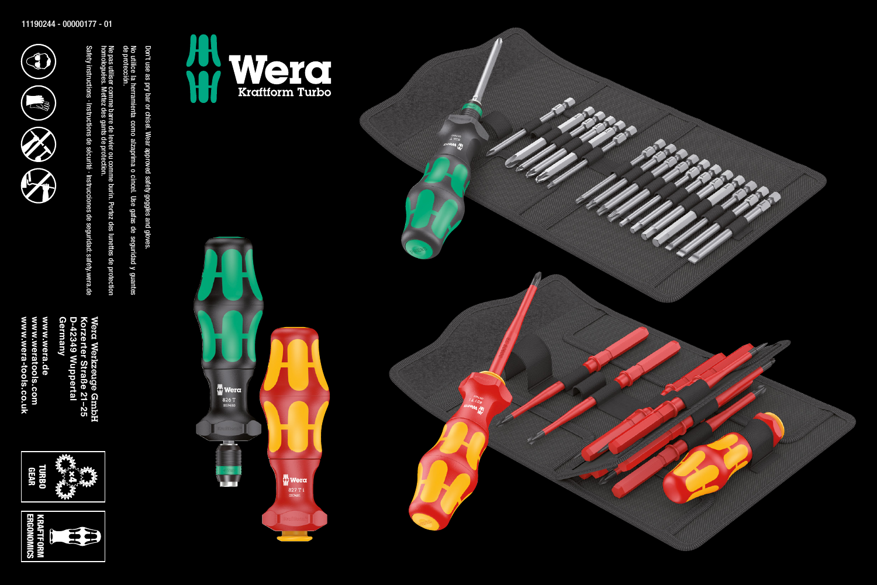

No utilice la her

de protección.

homologuées.

Mettez des gants de protection.

Don't use as pry bar or chisel. Wear approved safety goggles and gloves.

ramienta como alzaprima o cincel. Use gafas de seguridad y guantes

Ne pas utiliser comme barre de levier ou comme burin. Portez des lunettes de protection

Ne pas utiliser comme barre de levier ou comme burin. Portez des lunettes de protection<br>homologuées. Mettez des gants de protection. No utilice la herramienta como alzaprima o cincel. Use gatas de seguridad y guantes<br>de protección. Don't use as pry bar or chisel. Wear approved safety goggles and gloves.

Safety instructions · Instructions de sécurité · Instrucciones de seguridad: safety.wera.de

Safety instructions - Instructions de sécurité - Instrucciones de seguridad: safety.wera.de











Wera Werkevuge GmbH<br>**D-42349 Wuppertal**<br>D-42349 Wuppertal<br>Germany<br>www.weratools.com<br>www.wera-tools.co.uk